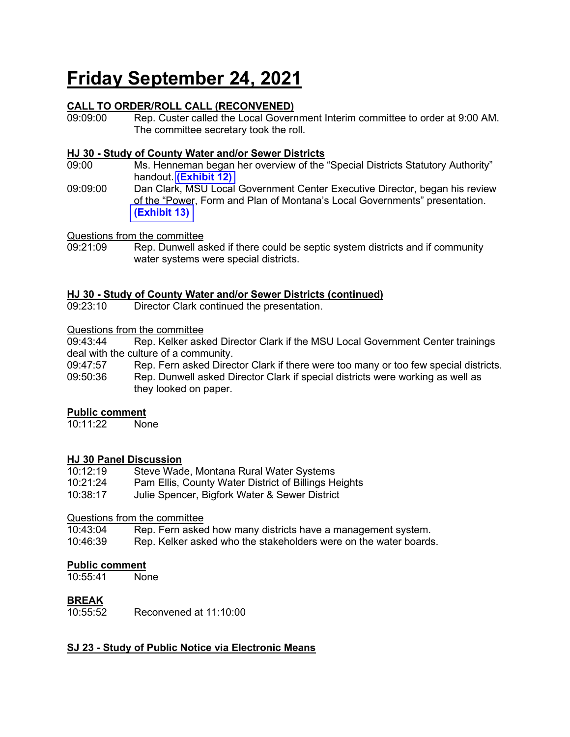# **Friday September 24, 2021**

# **CALL TO ORDER/ROLL CALL (RECONVENED)**

Rep. Custer called the Local Government Interim committee to order at 9:00 AM. The committee secretary took the roll.

#### **HJ 30 - Study of County Water and/or Sewer Districts**

- 09:00 Ms. Henneman began her overview of the "Special Districts Statutory Authority" handout. **[\(Exhibit 12\)](https://leg.mt.gov/content/Committees/Interim/2021-2022/Local-Gov/21_Sept/SpecDist_StatutoryGuidance2021.pdf)**
- 09:09:00 Dan Clark, MSU Local Government Center Executive Director, began his review of the "Power, Form and Plan of Montana's Local Governments" presentation. **[\(Exhibit 13\)](https://leg.mt.gov/content/Committees/Interim/2021-2022/Local-Gov/21_Sept/LGTypesSlides9.21.21.pdf)**

Questions from the committee

Rep. Dunwell asked if there could be septic system districts and if community water systems were special districts.

# **HJ 30 - Study of County Water and/or Sewer Districts (continued)**

Director Clark continued the presentation.

#### Questions from the committee

09:43:44 Rep. Kelker asked Director Clark if the MSU Local Government Center trainings deal with the culture of a community.<br>09:47:57 Rep. Fern asked Direc

Rep. Fern asked Director Clark if there were too many or too few special districts.

09:50:36 Rep. Dunwell asked Director Clark if special districts were working as well as they looked on paper.

### **Public comment**

10:11:22 None

### **HJ 30 Panel Discussion**

| 10:12:19 | Steve Wade, Montana Rural Water Systems              |
|----------|------------------------------------------------------|
| 10:21:24 | Pam Ellis, County Water District of Billings Heights |
| 10:38:17 | Julie Spencer, Bigfork Water & Sewer District        |

# Questions from the committee<br>10:43:04 Rep. Fern asked

Rep. Fern asked how many districts have a management system.

10:46:39 Rep. Kelker asked who the stakeholders were on the water boards.

#### **Public comment**

10:55:41 None

### **BREAK**

10:55:52 Reconvened at 11:10:00

### **SJ 23 - Study of Public Notice via Electronic Means**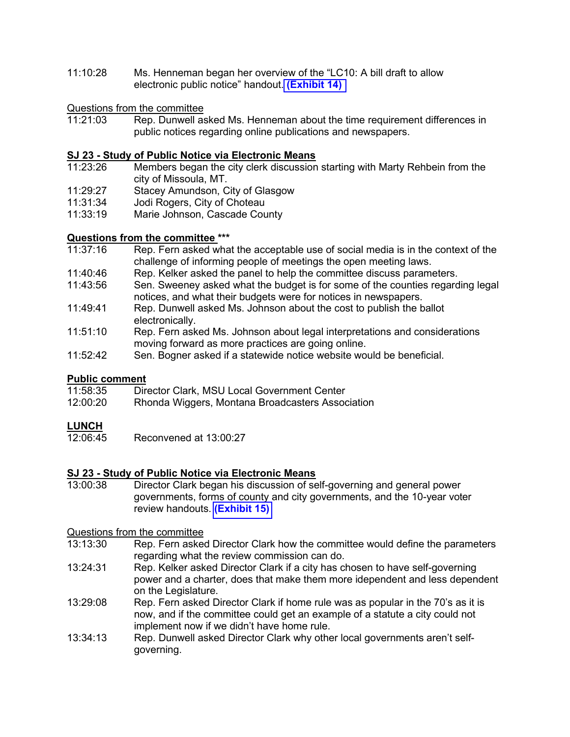11:10:28 Ms. Henneman began her overview of the "LC10: A bill draft to allow electronic public notice" handout. **[\(Exhibit 14\)](https://leg.mt.gov/content/Committees/Interim/2021-2022/Local-Gov/21_Sept/LC10_Overview.pdf)** 

## Questions from the committee

Rep. Dunwell asked Ms. Henneman about the time requirement differences in public notices regarding online publications and newspapers.

## **SJ 23 - Study of Public Notice via Electronic Means**

- Members began the city clerk discussion starting with Marty Rehbein from the city of Missoula, MT.
- 11:29:27 Stacey Amundson, City of Glasgow
- 11:31:34 Jodi Rogers, City of Choteau
- 11:33:19 Marie Johnson, Cascade County

#### **Questions from the committee \*\*\***

- 11:37:16 Rep. Fern asked what the acceptable use of social media is in the context of the challenge of informing people of meetings the open meeting laws.
- 11:40:46 Rep. Kelker asked the panel to help the committee discuss parameters.
- 11:43:56 Sen. Sweeney asked what the budget is for some of the counties regarding legal notices, and what their budgets were for notices in newspapers.
- 11:49:41 Rep. Dunwell asked Ms. Johnson about the cost to publish the ballot electronically.
- 11:51:10 Rep. Fern asked Ms. Johnson about legal interpretations and considerations moving forward as more practices are going online.
- 11:52:42 Sen. Bogner asked if a statewide notice website would be beneficial.

## **Public comment**<br>11:58:35 Dire

- Director Clark, MSU Local Government Center
- 12:00:20 Rhonda Wiggers, Montana Broadcasters Association

#### **LUNCH**

12:06:45 Reconvened at 13:00:27

## **SJ 23 - Study of Public Notice via Electronic Means**

Director Clark began his discussion of self-governing and general power governments, forms of county and city governments, and the 10-year voter review handouts. **[\(Exhibit 15\)](https://leg.mt.gov/content/Committees/Interim/2021-2022/Local-Gov/21_Sept/BoardPacket1.pdf)**

## Questions from the committee

- Rep. Fern asked Director Clark how the committee would define the parameters regarding what the review commission can do.
- 13:24:31 Rep. Kelker asked Director Clark if a city has chosen to have self-governing power and a charter, does that make them more idependent and less dependent on the Legislature.
- 13:29:08 Rep. Fern asked Director Clark if home rule was as popular in the 70's as it is now, and if the committee could get an example of a statute a city could not implement now if we didn't have home rule.
- 13:34:13 Rep. Dunwell asked Director Clark why other local governments aren't selfgoverning.